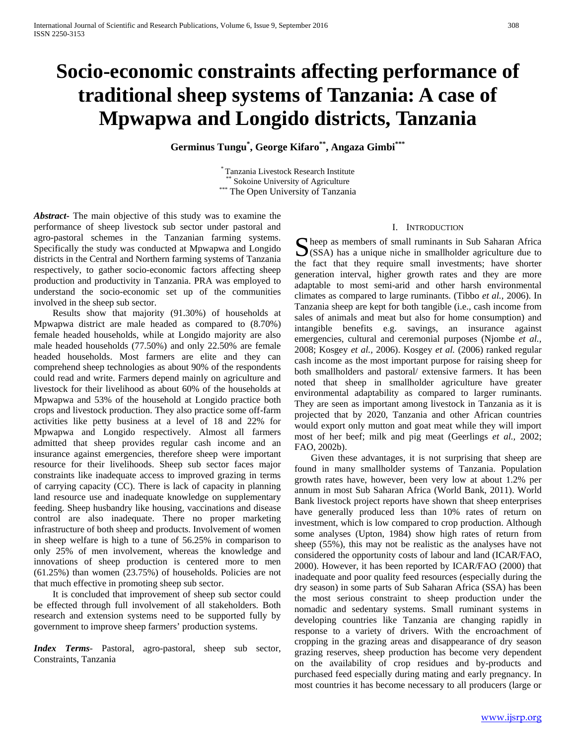# **Socio-economic constraints affecting performance of traditional sheep systems of Tanzania: A case of Mpwapwa and Longido districts, Tanzania**

**Germinus Tungu\* , George Kifaro\*\*, Angaza Gimbi\*\*\***

\* Tanzania Livestock Research Institute \*\* Sokoine University of Agriculture \*\*\* The Open University of Tanzania

*Abstract***-** The main objective of this study was to examine the performance of sheep livestock sub sector under pastoral and agro-pastoral schemes in the Tanzanian farming systems. Specifically the study was conducted at Mpwapwa and Longido districts in the Central and Northern farming systems of Tanzania respectively, to gather socio-economic factors affecting sheep production and productivity in Tanzania. PRA was employed to understand the socio-economic set up of the communities involved in the sheep sub sector.

 Results show that majority (91.30%) of households at Mpwapwa district are male headed as compared to (8.70%) female headed households, while at Longido majority are also male headed households (77.50%) and only 22.50% are female headed households. Most farmers are elite and they can comprehend sheep technologies as about 90% of the respondents could read and write. Farmers depend mainly on agriculture and livestock for their livelihood as about 60% of the households at Mpwapwa and 53% of the household at Longido practice both crops and livestock production. They also practice some off-farm activities like petty business at a level of 18 and 22% for Mpwapwa and Longido respectively. Almost all farmers admitted that sheep provides regular cash income and an insurance against emergencies, therefore sheep were important resource for their livelihoods. Sheep sub sector faces major constraints like inadequate access to improved grazing in terms of carrying capacity (CC). There is lack of capacity in planning land resource use and inadequate knowledge on supplementary feeding. Sheep husbandry like housing, vaccinations and disease control are also inadequate. There no proper marketing infrastructure of both sheep and products. Involvement of women in sheep welfare is high to a tune of 56.25% in comparison to only 25% of men involvement, whereas the knowledge and innovations of sheep production is centered more to men (61.25%) than women (23.75%) of households. Policies are not that much effective in promoting sheep sub sector.

 It is concluded that improvement of sheep sub sector could be effected through full involvement of all stakeholders. Both research and extension systems need to be supported fully by government to improve sheep farmers' production systems.

*Index Terms*- Pastoral, agro-pastoral, sheep sub sector, Constraints, Tanzania

#### I. INTRODUCTION

heep as members of small ruminants in Sub Saharan Africa Sheep as members of small ruminants in Sub Saharan Africa<br>
(SSA) has a unique niche in smallholder agriculture due to the fact that they require small investments; have shorter generation interval, higher growth rates and they are more adaptable to most semi-arid and other harsh environmental climates as compared to large ruminants. (Tibbo *et al.,* 2006). In Tanzania sheep are kept for both tangible (i.e., cash income from sales of animals and meat but also for home consumption) and intangible benefits e.g. savings, an insurance against emergencies, cultural and ceremonial purposes (Njombe *et al.,*  2008; Kosgey *et al.,* 2006). Kosgey *et al.* (2006) ranked regular cash income as the most important purpose for raising sheep for both smallholders and pastoral/ extensive farmers. It has been noted that sheep in smallholder agriculture have greater environmental adaptability as compared to larger ruminants. They are seen as important among livestock in Tanzania as it is projected that by 2020, Tanzania and other African countries would export only mutton and goat meat while they will import most of her beef; milk and pig meat (Geerlings *et al.,* 2002; FAO, 2002b).

 Given these advantages, it is not surprising that sheep are found in many smallholder systems of Tanzania. Population growth rates have, however, been very low at about 1.2% per annum in most Sub Saharan Africa (World Bank, 2011). World Bank livestock project reports have shown that sheep enterprises have generally produced less than 10% rates of return on investment, which is low compared to crop production. Although some analyses (Upton, 1984) show high rates of return from sheep (55%), this may not be realistic as the analyses have not considered the opportunity costs of labour and land (ICAR/FAO, 2000). However, it has been reported by ICAR/FAO (2000) that inadequate and poor quality feed resources (especially during the dry season) in some parts of Sub Saharan Africa (SSA) has been the most serious constraint to sheep production under the nomadic and sedentary systems. Small ruminant systems in developing countries like Tanzania are changing rapidly in response to a variety of drivers. With the encroachment of cropping in the grazing areas and disappearance of dry season grazing reserves, sheep production has become very dependent on the availability of crop residues and by-products and purchased feed especially during mating and early pregnancy. In most countries it has become necessary to all producers (large or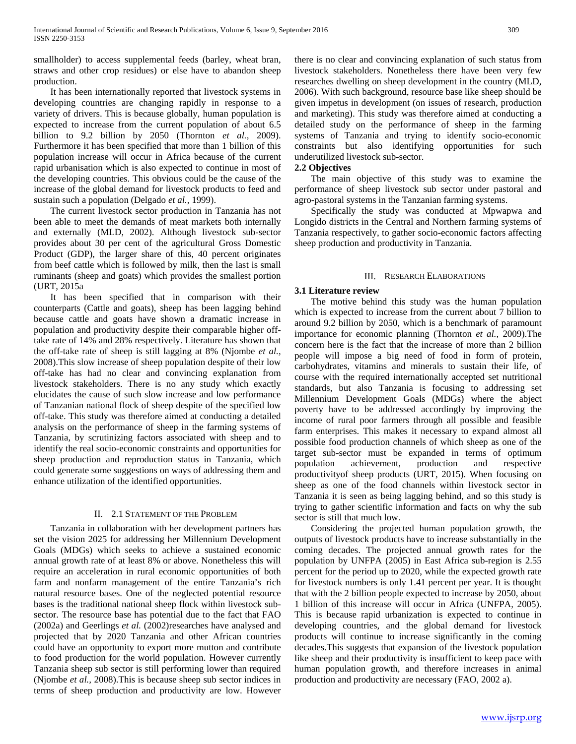smallholder) to access supplemental feeds (barley, wheat bran, straws and other crop residues) or else have to abandon sheep production.

 It has been internationally reported that livestock systems in developing countries are changing rapidly in response to a variety of drivers. This is because globally, human population is expected to increase from the current population of about 6.5 billion to 9.2 billion by 2050 (Thornton *et al.,* 2009). Furthermore it has been specified that more than 1 billion of this population increase will occur in Africa because of the current rapid urbanisation which is also expected to continue in most of the developing countries. This obvious could be the cause of the increase of the global demand for livestock products to feed and sustain such a population (Delgado *et al.,* 1999).

 The current livestock sector production in Tanzania has not been able to meet the demands of meat markets both internally and externally (MLD, 2002). Although livestock sub-sector provides about 30 per cent of the agricultural Gross Domestic Product (GDP), the larger share of this, 40 percent originates from beef cattle which is followed by milk, then the last is small ruminants (sheep and goats) which provides the smallest portion (URT, 2015a

 It has been specified that in comparison with their counterparts (Cattle and goats), sheep has been lagging behind because cattle and goats have shown a dramatic increase in population and productivity despite their comparable higher offtake rate of 14% and 28% respectively. Literature has shown that the off-take rate of sheep is still lagging at 8% (Njombe *et al.,*  2008).This slow increase of sheep population despite of their low off-take has had no clear and convincing explanation from livestock stakeholders. There is no any study which exactly elucidates the cause of such slow increase and low performance of Tanzanian national flock of sheep despite of the specified low off-take. This study was therefore aimed at conducting a detailed analysis on the performance of sheep in the farming systems of Tanzania, by scrutinizing factors associated with sheep and to identify the real socio-economic constraints and opportunities for sheep production and reproduction status in Tanzania, which could generate some suggestions on ways of addressing them and enhance utilization of the identified opportunities.

## II. 2.1 STATEMENT OF THE PROBLEM

 Tanzania in collaboration with her development partners has set the vision 2025 for addressing her Millennium Development Goals (MDGs) which seeks to achieve a sustained economic annual growth rate of at least 8% or above. Nonetheless this will require an acceleration in rural economic opportunities of both farm and nonfarm management of the entire Tanzania's rich natural resource bases. One of the neglected potential resource bases is the traditional national sheep flock within livestock subsector. The resource base has potential due to the fact that FAO (2002a) and Geerlings *et al.* (2002)researches have analysed and projected that by 2020 Tanzania and other African countries could have an opportunity to export more mutton and contribute to food production for the world population. However currently Tanzania sheep sub sector is still performing lower than required (Njombe *et al.,* 2008).This is because sheep sub sector indices in terms of sheep production and productivity are low. However

there is no clear and convincing explanation of such status from livestock stakeholders. Nonetheless there have been very few researches dwelling on sheep development in the country (MLD, 2006). With such background, resource base like sheep should be given impetus in development (on issues of research, production and marketing). This study was therefore aimed at conducting a detailed study on the performance of sheep in the farming systems of Tanzania and trying to identify socio-economic constraints but also identifying opportunities for such underutilized livestock sub-sector.

# **2.2 Objectives**

 The main objective of this study was to examine the performance of sheep livestock sub sector under pastoral and agro-pastoral systems in the Tanzanian farming systems.

 Specifically the study was conducted at Mpwapwa and Longido districts in the Central and Northern farming systems of Tanzania respectively, to gather socio-economic factors affecting sheep production and productivity in Tanzania.

# III. RESEARCH ELABORATIONS

# **3.1 Literature review**

 The motive behind this study was the human population which is expected to increase from the current about 7 billion to around 9.2 billion by 2050, which is a benchmark of paramount importance for economic planning (Thornton *et al.,* 2009).The concern here is the fact that the increase of more than 2 billion people will impose a big need of food in form of protein, carbohydrates, vitamins and minerals to sustain their life, of course with the required internationally accepted set nutritional standards, but also Tanzania is focusing to addressing set Millennium Development Goals (MDGs) where the abject poverty have to be addressed accordingly by improving the income of rural poor farmers through all possible and feasible farm enterprises. This makes it necessary to expand almost all possible food production channels of which sheep as one of the target sub-sector must be expanded in terms of optimum population achievement, production and respective productivityof sheep products (URT, 2015). When focusing on sheep as one of the food channels within livestock sector in Tanzania it is seen as being lagging behind, and so this study is trying to gather scientific information and facts on why the sub sector is still that much low.

 Considering the projected human population growth, the outputs of livestock products have to increase substantially in the coming decades. The projected annual growth rates for the population by UNFPA (2005) in East Africa sub-region is 2.55 percent for the period up to 2020, while the expected growth rate for livestock numbers is only 1.41 percent per year. It is thought that with the 2 billion people expected to increase by 2050, about 1 billion of this increase will occur in Africa (UNFPA, 2005). This is because rapid urbanization is expected to continue in developing countries, and the global demand for livestock products will continue to increase significantly in the coming decades.This suggests that expansion of the livestock population like sheep and their productivity is insufficient to keep pace with human population growth, and therefore increases in animal production and productivity are necessary (FAO, 2002 a).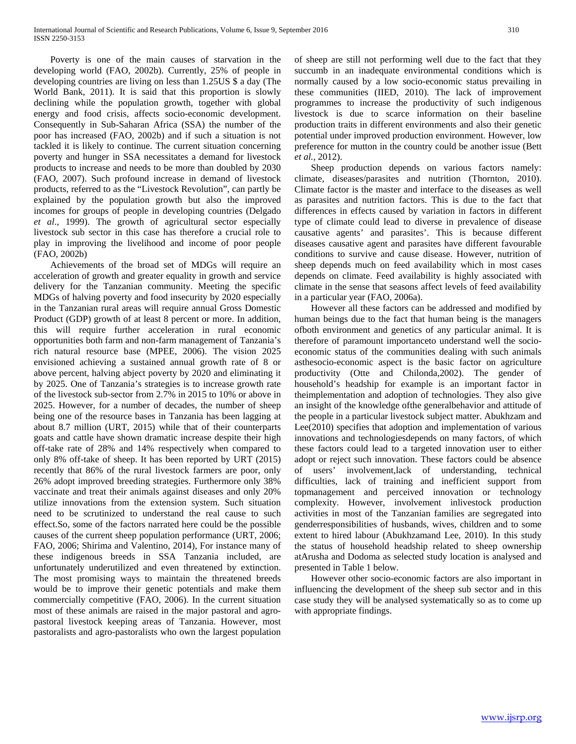Poverty is one of the main causes of starvation in the developing world (FAO, 2002b). Currently, 25% of people in developing countries are living on less than 1.25US \$ a day (The World Bank, 2011). It is said that this proportion is slowly declining while the population growth, together with global energy and food crisis, affects socio-economic development. Consequently in Sub-Saharan Africa (SSA) the number of the poor has increased (FAO, 2002b) and if such a situation is not tackled it is likely to continue. The current situation concerning poverty and hunger in SSA necessitates a demand for livestock products to increase and needs to be more than doubled by 2030 (FAO, 2007). Such profound increase in demand of livestock products, referred to as the "Livestock Revolution", can partly be explained by the population growth but also the improved incomes for groups of people in developing countries (Delgado *et al*., 1999). The growth of agricultural sector especially livestock sub sector in this case has therefore a crucial role to play in improving the livelihood and income of poor people (FAO, 2002b)

 Achievements of the broad set of MDGs will require an acceleration of growth and greater equality in growth and service delivery for the Tanzanian community. Meeting the specific MDGs of halving poverty and food insecurity by 2020 especially in the Tanzanian rural areas will require annual Gross Domestic Product (GDP) growth of at least 8 percent or more. In addition, this will require further acceleration in rural economic opportunities both farm and non-farm management of Tanzania's rich natural resource base (MPEE, 2006). The vision 2025 envisioned achieving a sustained annual growth rate of 8 or above percent, halving abject poverty by 2020 and eliminating it by 2025. One of Tanzania's strategies is to increase growth rate of the livestock sub-sector from 2.7% in 2015 to 10% or above in 2025. However, for a number of decades, the number of sheep being one of the resource bases in Tanzania has been lagging at about 8.7 million (URT, 2015) while that of their counterparts goats and cattle have shown dramatic increase despite their high off-take rate of 28% and 14% respectively when compared to only 8% off-take of sheep. It has been reported by URT (2015) recently that 86% of the rural livestock farmers are poor, only 26% adopt improved breeding strategies. Furthermore only 38% vaccinate and treat their animals against diseases and only 20% utilize innovations from the extension system. Such situation need to be scrutinized to understand the real cause to such effect.So, some of the factors narrated here could be the possible causes of the current sheep population performance (URT, 2006; FAO, 2006; Shirima and Valentino, 2014), For instance many of these indigenous breeds in SSA Tanzania included, are unfortunately underutilized and even threatened by extinction. The most promising ways to maintain the threatened breeds would be to improve their genetic potentials and make them commercially competitive (FAO, 2006). In the current situation most of these animals are raised in the major pastoral and agropastoral livestock keeping areas of Tanzania. However, most pastoralists and agro-pastoralists who own the largest population

of sheep are still not performing well due to the fact that they succumb in an inadequate environmental conditions which is normally caused by a low socio-economic status prevailing in these communities (IIED, 2010). The lack of improvement programmes to increase the productivity of such indigenous livestock is due to scarce information on their baseline production traits in different environments and also their genetic potential under improved production environment. However, low preference for mutton in the country could be another issue (Bett *et al.,* 2012).

 Sheep production depends on various factors namely: climate, diseases/parasites and nutrition (Thornton, 2010). Climate factor is the master and interface to the diseases as well as parasites and nutrition factors. This is due to the fact that differences in effects caused by variation in factors in different type of climate could lead to diverse in prevalence of disease causative agents' and parasites'. This is because different diseases causative agent and parasites have different favourable conditions to survive and cause disease. However, nutrition of sheep depends much on feed availability which in most cases depends on climate. Feed availability is highly associated with climate in the sense that seasons affect levels of feed availability in a particular year (FAO, 2006a).

 However all these factors can be addressed and modified by human beings due to the fact that human being is the managers ofboth environment and genetics of any particular animal. It is therefore of paramount importanceto understand well the socioeconomic status of the communities dealing with such animals asthesocio-economic aspect is the basic factor on agriculture productivity (Otte and Chilonda,2002). The gender of household's headship for example is an important factor in theimplementation and adoption of technologies. They also give an insight of the knowledge ofthe generalbehavior and attitude of the people in a particular livestock subject matter. Abukhzam and Lee(2010) specifies that adoption and implementation of various innovations and technologiesdepends on many factors, of which these factors could lead to a targeted innovation user to either adopt or reject such innovation. These factors could be absence of users' involvement,lack of understanding, technical difficulties, lack of training and inefficient support from topmanagement and perceived innovation or technology complexity. However, involvement inlivestock production activities in most of the Tanzanian families are segregated into genderresponsibilities of husbands, wives, children and to some extent to hired labour (Abukhzamand Lee, 2010). In this study the status of household headship related to sheep ownership atArusha and Dodoma as selected study location is analysed and presented in Table 1 below.

 However other socio-economic factors are also important in influencing the development of the sheep sub sector and in this case study they will be analysed systematically so as to come up with appropriate findings.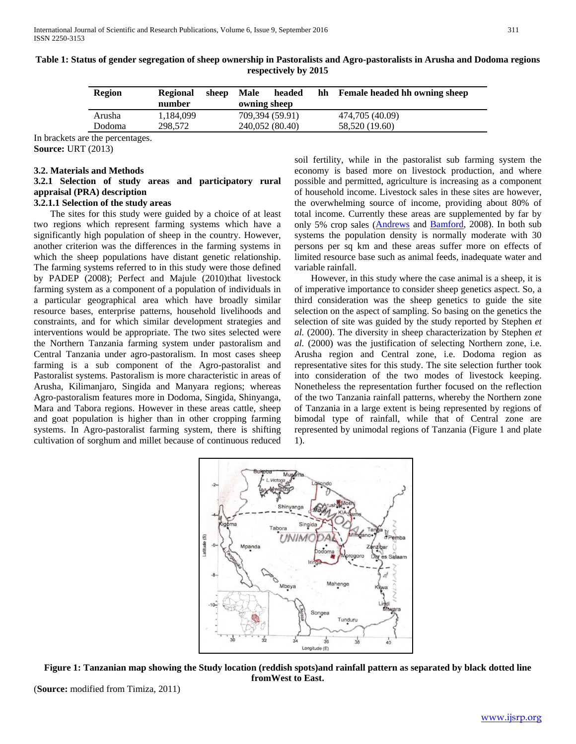| <b>Region</b> | <b>Regional</b><br>number | sheep | Male<br>owning sheep | headed          | hh | <b>Female headed hh owning sheep</b> |
|---------------|---------------------------|-------|----------------------|-----------------|----|--------------------------------------|
| Arusha        | 1.184.099                 |       |                      | 709,394 (59.91) |    | 474,705 (40.09)                      |
| Dodoma        | 298.572                   |       |                      | 240,052 (80.40) |    | 58,520 (19.60)                       |

**Table 1: Status of gender segregation of sheep ownership in Pastoralists and Agro-pastoralists in Arusha and Dodoma regions respectively by 2015**

In brackets are the percentages.

**Source:** URT (2013)

## **3.2. Materials and Methods**

# **3.2.1 Selection of study areas and participatory rural appraisal (PRA) description**

# **3.2.1.1 Selection of the study areas**

 The sites for this study were guided by a choice of at least two regions which represent farming systems which have a significantly high population of sheep in the country. However, another criterion was the differences in the farming systems in which the sheep populations have distant genetic relationship. The farming systems referred to in this study were those defined by PADEP (2008); Perfect and Majule (2010)that livestock farming system as a component of a population of individuals in a particular geographical area which have broadly similar resource bases, enterprise patterns, household livelihoods and constraints, and for which similar development strategies and interventions would be appropriate. The two sites selected were the Northern Tanzania farming system under pastoralism and Central Tanzania under agro-pastoralism. In most cases sheep farming is a sub component of the Agro-pastoralist and Pastoralist systems. Pastoralism is more characteristic in areas of Arusha, Kilimanjaro, Singida and Manyara regions; whereas Agro-pastoralism features more in Dodoma, Singida, Shinyanga, Mara and Tabora regions. However in these areas cattle, sheep and goat population is higher than in other cropping farming systems. In Agro-pastoralist farming system, there is shifting cultivation of sorghum and millet because of continuous reduced

soil fertility, while in the pastoralist sub farming system the economy is based more on livestock production, and where possible and permitted, agriculture is increasing as a component of household income. Livestock sales in these sites are however, the overwhelming source of income, providing about 80% of total income. Currently these areas are supplemented by far by only 5% crop sales [\(Andrews](http://www.sciencedirect.com/science/article/pii/S0047248407001303) and [Bamford,](http://www.sciencedirect.com/science/article/pii/S0047248407001303) 2008). In both sub systems the population density is normally moderate with 30 persons per sq km and these areas suffer more on effects of limited resource base such as animal feeds, inadequate water and variable rainfall.

 However, in this study where the case animal is a sheep, it is of imperative importance to consider sheep genetics aspect. So, a third consideration was the sheep genetics to guide the site selection on the aspect of sampling. So basing on the genetics the selection of site was guided by the study reported by Stephen *et al.* (2000). The diversity in sheep characterization by Stephen *et al.* (2000) was the justification of selecting Northern zone, i.e. Arusha region and Central zone, i.e. Dodoma region as representative sites for this study. The site selection further took into consideration of the two modes of livestock keeping. Nonetheless the representation further focused on the reflection of the two Tanzania rainfall patterns, whereby the Northern zone of Tanzania in a large extent is being represented by regions of bimodal type of rainfall, while that of Central zone are represented by unimodal regions of Tanzania (Figure 1 and plate 1).



**Figure 1: Tanzanian map showing the Study location (reddish spots)and rainfall pattern as separated by black dotted line fromWest to East.**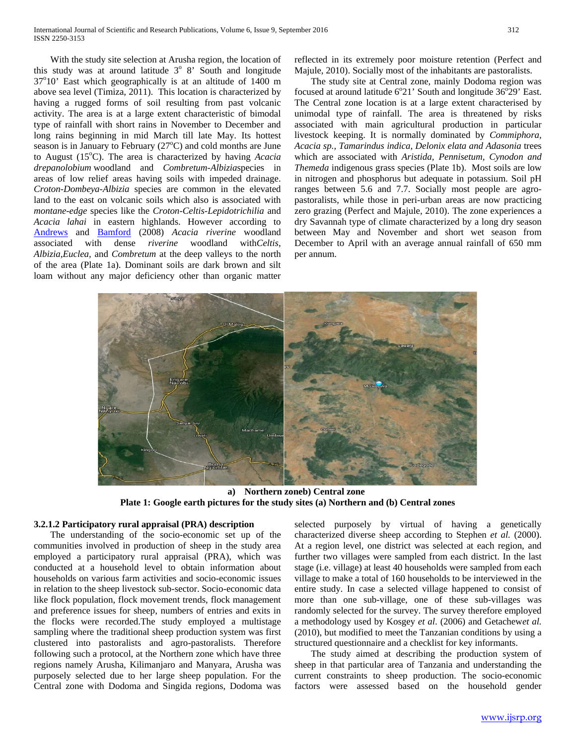With the study site selection at Arusha region, the location of this study was at around latitude  $3^{\circ}$  8' South and longitude 37°10' East which geographically is at an altitude of 1400 m above sea level (Timiza, 2011). This location is characterized by having a rugged forms of soil resulting from past volcanic activity. The area is at a large extent characteristic of bimodal type of rainfall with short rains in November to December and long rains beginning in mid March till late May. Its hottest season is in January to February (27°C) and cold months are June to August (15°C). The area is characterized by having *Acacia drepanolobium* woodland and *Combretum-Albizia*species in areas of low relief areas having soils with impeded drainage. *Croton-Dombeya-Albizia* species are common in the elevated land to the east on volcanic soils which also is associated with *montane-edge* species like the *Croton-Celtis-Lepidotrichilia* and *Acacia lahai* in eastern highlands. However according to [Andrews](http://www.sciencedirect.com/science/article/pii/S0047248407001303) and [Bamford](http://www.sciencedirect.com/science/article/pii/S0047248407001303) (2008) *Acacia riverine* woodland associated with dense *riverine* woodland with*Celtis*, *Albizia,Euclea,* and *Combretum* at the deep valleys to the north of the area (Plate 1a). Dominant soils are dark brown and silt loam without any major deficiency other than organic matter

reflected in its extremely poor moisture retention (Perfect and Majule, 2010). Socially most of the inhabitants are pastoralists.

 The study site at Central zone, mainly Dodoma region was focused at around latitude  $6^{\circ}21'$  South and longitude  $36^{\circ}29'$  East. The Central zone location is at a large extent characterised by unimodal type of rainfall. The area is threatened by risks associated with main agricultural production in particular livestock keeping. It is normally dominated by *Commiphora, Acacia sp., Tamarindus indica, Delonix elata and Adasonia* trees which are associated with *Aristida, Pennisetum, Cynodon and Themeda* indigenous grass species (Plate 1b). Most soils are low in nitrogen and phosphorus but adequate in potassium. Soil pH ranges between 5.6 and 7.7. Socially most people are agropastoralists, while those in peri-urban areas are now practicing zero grazing (Perfect and Majule, 2010). The zone experiences a dry Savannah type of climate characterized by a long dry season between May and November and short wet season from December to April with an average annual rainfall of 650 mm per annum.



**a) Northern zoneb) Central zone Plate 1: Google earth pictures for the study sites (a) Northern and (b) Central zones**

## **3.2.1.2 Participatory rural appraisal (PRA) description**

 The understanding of the socio-economic set up of the communities involved in production of sheep in the study area employed a participatory rural appraisal (PRA), which was conducted at a household level to obtain information about households on various farm activities and socio-economic issues in relation to the sheep livestock sub-sector. Socio-economic data like flock population, flock movement trends, flock management and preference issues for sheep, numbers of entries and exits in the flocks were recorded.The study employed a multistage sampling where the traditional sheep production system was first clustered into pastoralists and agro-pastoralists. Therefore following such a protocol, at the Northern zone which have three regions namely Arusha, Kilimanjaro and Manyara, Arusha was purposely selected due to her large sheep population. For the Central zone with Dodoma and Singida regions, Dodoma was

selected purposely by virtual of having a genetically characterized diverse sheep according to Stephen *et al.* (2000). At a region level, one district was selected at each region, and further two villages were sampled from each district. In the last stage (i.e. village) at least 40 households were sampled from each village to make a total of 160 households to be interviewed in the entire study. In case a selected village happened to consist of more than one sub-village, one of these sub-villages was randomly selected for the survey. The survey therefore employed a methodology used by Kosgey *et al*. (2006) and Getachew*et al.*  (2010), but modified to meet the Tanzanian conditions by using a structured questionnaire and a checklist for key informants.

 The study aimed at describing the production system of sheep in that particular area of Tanzania and understanding the current constraints to sheep production. The socio-economic factors were assessed based on the household gender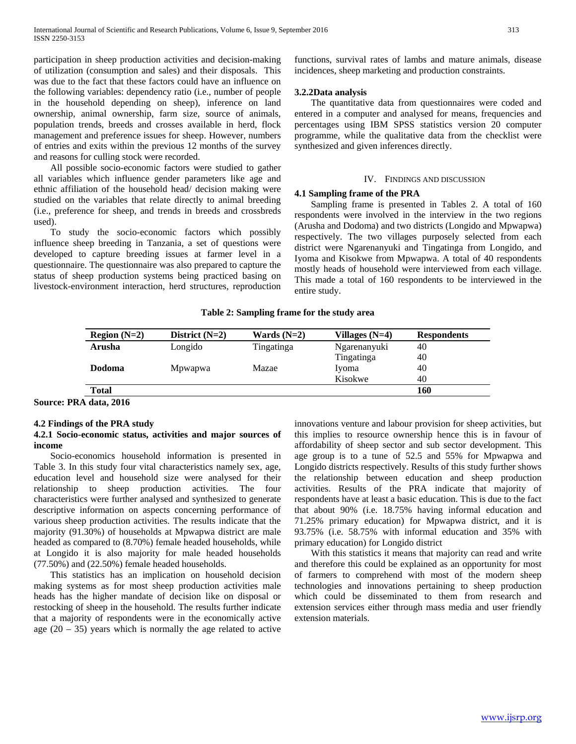participation in sheep production activities and decision-making of utilization (consumption and sales) and their disposals. This was due to the fact that these factors could have an influence on the following variables: dependency ratio (i.e., number of people in the household depending on sheep), inference on land ownership, animal ownership, farm size, source of animals, population trends, breeds and crosses available in herd, flock management and preference issues for sheep. However, numbers of entries and exits within the previous 12 months of the survey and reasons for culling stock were recorded.

 All possible socio-economic factors were studied to gather all variables which influence gender parameters like age and ethnic affiliation of the household head/ decision making were studied on the variables that relate directly to animal breeding (i.e., preference for sheep, and trends in breeds and crossbreds used).

 To study the socio-economic factors which possibly influence sheep breeding in Tanzania, a set of questions were developed to capture breeding issues at farmer level in a questionnaire. The questionnaire was also prepared to capture the status of sheep production systems being practiced basing on livestock-environment interaction, herd structures, reproduction functions, survival rates of lambs and mature animals, disease incidences, sheep marketing and production constraints.

## **3.2.2Data analysis**

 The quantitative data from questionnaires were coded and entered in a computer and analysed for means, frequencies and percentages using IBM SPSS statistics version 20 computer programme, while the qualitative data from the checklist were synthesized and given inferences directly.

#### IV. FINDINGS AND DISCUSSION

#### **4.1 Sampling frame of the PRA**

 Sampling frame is presented in Tables 2. A total of 160 respondents were involved in the interview in the two regions (Arusha and Dodoma) and two districts (Longido and Mpwapwa) respectively. The two villages purposely selected from each district were Ngarenanyuki and Tingatinga from Longido, and Iyoma and Kisokwe from Mpwapwa. A total of 40 respondents mostly heads of household were interviewed from each village. This made a total of 160 respondents to be interviewed in the entire study.

#### **Table 2: Sampling frame for the study area**

| District $(N=2)$ | Wards $(N=2)$ | Villages $(N=4)$ | <b>Respondents</b> |
|------------------|---------------|------------------|--------------------|
| Longido          | Tingatinga    | Ngarenanyuki     | 40                 |
|                  |               | Tingatinga       | 40                 |
| Mpwapwa          | Mazae         | Iyoma            | 40                 |
|                  |               | Kisokwe          | 40                 |
|                  |               |                  | 160                |
|                  |               |                  |                    |

#### **Source: PRA data, 2016**

#### **4.2 Findings of the PRA study**

## **4.2.1 Socio-economic status, activities and major sources of income**

 Socio-economics household information is presented in Table 3. In this study four vital characteristics namely sex, age, education level and household size were analysed for their relationship to sheep production activities. The four characteristics were further analysed and synthesized to generate descriptive information on aspects concerning performance of various sheep production activities. The results indicate that the majority (91.30%) of households at Mpwapwa district are male headed as compared to (8.70%) female headed households, while at Longido it is also majority for male headed households (77.50%) and (22.50%) female headed households.

 This statistics has an implication on household decision making systems as for most sheep production activities male heads has the higher mandate of decision like on disposal or restocking of sheep in the household. The results further indicate that a majority of respondents were in the economically active age  $(20 - 35)$  years which is normally the age related to active innovations venture and labour provision for sheep activities, but this implies to resource ownership hence this is in favour of affordability of sheep sector and sub sector development. This age group is to a tune of 52.5 and 55% for Mpwapwa and Longido districts respectively. Results of this study further shows the relationship between education and sheep production activities. Results of the PRA indicate that majority of respondents have at least a basic education. This is due to the fact that about 90% (i.e. 18.75% having informal education and 71.25% primary education) for Mpwapwa district, and it is 93.75% (i.e. 58.75% with informal education and 35% with primary education) for Longido district

 With this statistics it means that majority can read and write and therefore this could be explained as an opportunity for most of farmers to comprehend with most of the modern sheep technologies and innovations pertaining to sheep production which could be disseminated to them from research and extension services either through mass media and user friendly extension materials.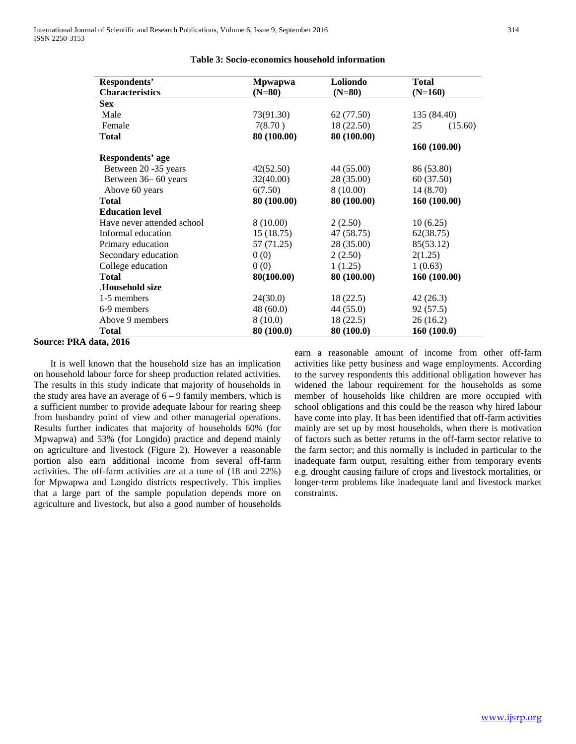| Respondents'               | <b>Mpwapwa</b> | Loliondo    | <b>Total</b>  |
|----------------------------|----------------|-------------|---------------|
| <b>Characteristics</b>     | $(N=80)$       | $(N=80)$    | $(N=160)$     |
| <b>Sex</b>                 |                |             |               |
| Male                       | 73(91.30)      | 62 (77.50)  | 135 (84.40)   |
| Female                     | 7(8.70)        | 18 (22.50)  | 25<br>(15.60) |
| <b>Total</b>               | 80 (100.00)    | 80 (100.00) |               |
|                            |                |             | 160 (100.00)  |
| Respondents' age           |                |             |               |
| Between 20 -35 years       | 42(52.50)      | 44 (55.00)  | 86 (53.80)    |
| Between 36-60 years        | 32(40.00)      | 28 (35.00)  | 60 (37.50)    |
| Above 60 years             | 6(7.50)        | 8 (10.00)   | 14 (8.70)     |
| <b>Total</b>               | 80 (100.00)    | 80 (100.00) | 160 (100.00)  |
| <b>Education level</b>     |                |             |               |
| Have never attended school | 8(10.00)       | 2(2.50)     | 10(6.25)      |
| Informal education         | 15(18.75)      | 47 (58.75)  | 62(38.75)     |
| Primary education          | 57 (71.25)     | 28 (35.00)  | 85(53.12)     |
| Secondary education        | 0(0)           | 2(2.50)     | 2(1.25)       |
| College education          | 0(0)           | 1(1.25)     | 1(0.63)       |
| <b>Total</b>               | 80(100.00)     | 80 (100.00) | 160 (100.00)  |
| .Household size            |                |             |               |
| 1-5 members                | 24(30.0)       | 18 (22.5)   | 42(26.3)      |
| 6-9 members                | 48(60.0)       | 44(55.0)    | 92(57.5)      |
| Above 9 members            | 8(10.0)        | 18(22.5)    | 26(16.2)      |
| <b>Total</b>               | 80 (100.0)     | 80 (100.0)  | 160(100.0)    |

# **Table 3: Socio-economics household information**

#### **Source: PRA data, 2016**

 It is well known that the household size has an implication on household labour force for sheep production related activities. The results in this study indicate that majority of households in the study area have an average of  $6 - 9$  family members, which is a sufficient number to provide adequate labour for rearing sheep from husbandry point of view and other managerial operations. Results further indicates that majority of households 60% (for Mpwapwa) and 53% (for Longido) practice and depend mainly on agriculture and livestock (Figure 2). However a reasonable portion also earn additional income from several off-farm activities. The off-farm activities are at a tune of (18 and 22%) for Mpwapwa and Longido districts respectively. This implies that a large part of the sample population depends more on agriculture and livestock, but also a good number of households

earn a reasonable amount of income from other off-farm activities like petty business and wage employments. According to the survey respondents this additional obligation however has widened the labour requirement for the households as some member of households like children are more occupied with school obligations and this could be the reason why hired labour have come into play. It has been identified that off-farm activities mainly are set up by most households, when there is motivation of factors such as better returns in the off-farm sector relative to the farm sector; and this normally is included in particular to the inadequate farm output, resulting either from temporary events e.g. drought causing failure of crops and livestock mortalities, or longer-term problems like inadequate land and livestock market constraints.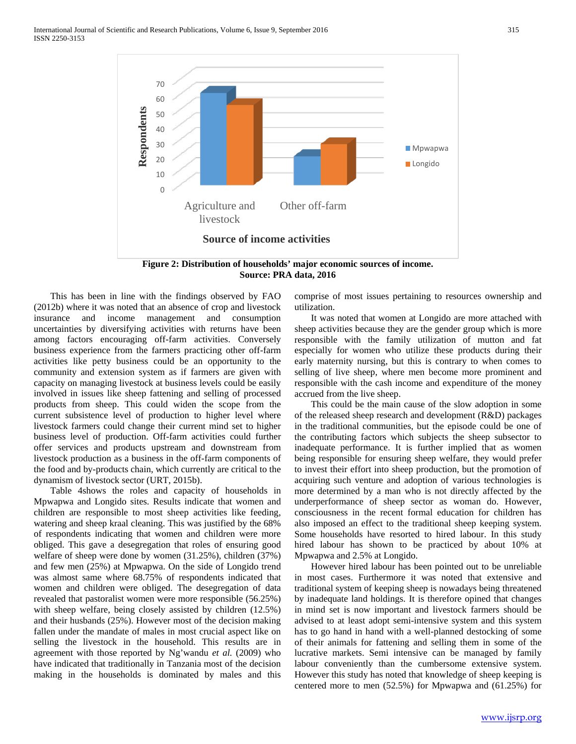

**Source: PRA data, 2016**

 This has been in line with the findings observed by FAO (2012b) where it was noted that an absence of crop and livestock insurance and income management and consumption uncertainties by diversifying activities with returns have been among factors encouraging off-farm activities. Conversely business experience from the farmers practicing other off-farm activities like petty business could be an opportunity to the community and extension system as if farmers are given with capacity on managing livestock at business levels could be easily involved in issues like sheep fattening and selling of processed products from sheep. This could widen the scope from the current subsistence level of production to higher level where livestock farmers could change their current mind set to higher business level of production. Off-farm activities could further offer services and products upstream and downstream from livestock production as a business in the off-farm components of the food and by-products chain, which currently are critical to the dynamism of livestock sector (URT, 2015b).

 Table 4shows the roles and capacity of households in Mpwapwa and Longido sites. Results indicate that women and children are responsible to most sheep activities like feeding, watering and sheep kraal cleaning. This was justified by the 68% of respondents indicating that women and children were more obliged. This gave a desegregation that roles of ensuring good welfare of sheep were done by women (31.25%), children (37%) and few men (25%) at Mpwapwa. On the side of Longido trend was almost same where 68.75% of respondents indicated that women and children were obliged. The desegregation of data revealed that pastoralist women were more responsible (56.25%) with sheep welfare, being closely assisted by children  $(12.5\%)$ and their husbands (25%). However most of the decision making fallen under the mandate of males in most crucial aspect like on selling the livestock in the household. This results are in agreement with those reported by Ng'wandu *et al.* (2009) who have indicated that traditionally in Tanzania most of the decision making in the households is dominated by males and this

comprise of most issues pertaining to resources ownership and utilization.

 It was noted that women at Longido are more attached with sheep activities because they are the gender group which is more responsible with the family utilization of mutton and fat especially for women who utilize these products during their early maternity nursing, but this is contrary to when comes to selling of live sheep, where men become more prominent and responsible with the cash income and expenditure of the money accrued from the live sheep.

 This could be the main cause of the slow adoption in some of the released sheep research and development (R&D) packages in the traditional communities, but the episode could be one of the contributing factors which subjects the sheep subsector to inadequate performance. It is further implied that as women being responsible for ensuring sheep welfare, they would prefer to invest their effort into sheep production, but the promotion of acquiring such venture and adoption of various technologies is more determined by a man who is not directly affected by the underperformance of sheep sector as woman do. However, consciousness in the recent formal education for children has also imposed an effect to the traditional sheep keeping system. Some households have resorted to hired labour. In this study hired labour has shown to be practiced by about 10% at Mpwapwa and 2.5% at Longido.

 However hired labour has been pointed out to be unreliable in most cases. Furthermore it was noted that extensive and traditional system of keeping sheep is nowadays being threatened by inadequate land holdings. It is therefore opined that changes in mind set is now important and livestock farmers should be advised to at least adopt semi-intensive system and this system has to go hand in hand with a well-planned destocking of some of their animals for fattening and selling them in some of the lucrative markets. Semi intensive can be managed by family labour conveniently than the cumbersome extensive system. However this study has noted that knowledge of sheep keeping is centered more to men (52.5%) for Mpwapwa and (61.25%) for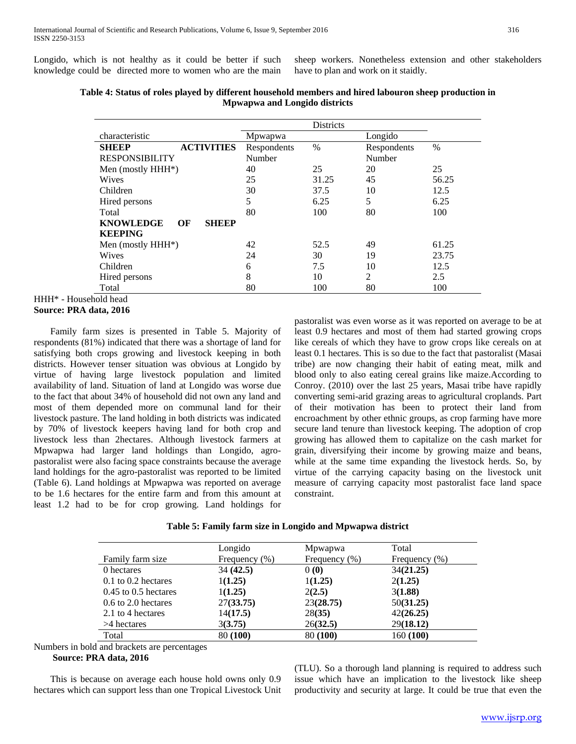Longido, which is not healthy as it could be better if such knowledge could be directed more to women who are the main sheep workers. Nonetheless extension and other stakeholders have to plan and work on it staidly.

|                                        |             | Districts |                |               |
|----------------------------------------|-------------|-----------|----------------|---------------|
| characteristic                         | Mpwapwa     |           | Longido        |               |
| <b>ACTIVITIES</b><br><b>SHEEP</b>      | Respondents | $\%$      | Respondents    | $\frac{0}{0}$ |
| <b>RESPONSIBILITY</b>                  | Number      |           | Number         |               |
| Men (mostly HHH*)                      | 40          | 25        | 20             | 25            |
| <b>Wives</b>                           | 25          | 31.25     | 45             | 56.25         |
| Children                               | 30          | 37.5      | 10             | 12.5          |
| Hired persons                          | 5           | 6.25      | 5              | 6.25          |
| Total                                  | 80          | 100       | 80             | 100           |
| <b>KNOWLEDGE</b><br><b>SHEEP</b><br>OF |             |           |                |               |
| <b>KEEPING</b>                         |             |           |                |               |
| Men (mostly HHH*)                      | 42          | 52.5      | 49             | 61.25         |
| Wives                                  | 24          | 30        | 19             | 23.75         |
| Children                               | 6           | 7.5       | 10             | 12.5          |
| Hired persons                          | 8           | 10        | $\mathfrak{D}$ | 2.5           |
| Total                                  | 80          | 100       | 80             | 100           |

# **Table 4: Status of roles played by different household members and hired labouron sheep production in Mpwapwa and Longido districts**

 Family farm sizes is presented in Table 5. Majority of respondents (81%) indicated that there was a shortage of land for satisfying both crops growing and livestock keeping in both districts. However tenser situation was obvious at Longido by virtue of having large livestock population and limited availability of land. Situation of land at Longido was worse due to the fact that about 34% of household did not own any land and most of them depended more on communal land for their livestock pasture. The land holding in both districts was indicated by 70% of livestock keepers having land for both crop and livestock less than 2hectares. Although livestock farmers at Mpwapwa had larger land holdings than Longido, agropastoralist were also facing space constraints because the average land holdings for the agro-pastoralist was reported to be limited (Table 6). Land holdings at Mpwapwa was reported on average to be 1.6 hectares for the entire farm and from this amount at least 1.2 had to be for crop growing. Land holdings for

pastoralist was even worse as it was reported on average to be at least 0.9 hectares and most of them had started growing crops like cereals of which they have to grow crops like cereals on at least 0.1 hectares. This is so due to the fact that pastoralist (Masai tribe) are now changing their habit of eating meat, milk and blood only to also eating cereal grains like maize.According to Conroy. (2010) over the last 25 years, Masai tribe have rapidly converting semi-arid grazing areas to agricultural croplands. Part of their motivation has been to protect their land from encroachment by other ethnic groups, as crop farming have more secure land tenure than livestock keeping. The adoption of crop growing has allowed them to capitalize on the cash market for grain, diversifying their income by growing maize and beans, while at the same time expanding the livestock herds. So, by virtue of the carrying capacity basing on the livestock unit measure of carrying capacity most pastoralist face land space constraint.

|  |  |  |  |  | Table 5: Family farm size in Longido and Mpwapwa district |
|--|--|--|--|--|-----------------------------------------------------------|
|  |  |  |  |  |                                                           |

|                          | Longido           | Mpwapwa       | Total         |
|--------------------------|-------------------|---------------|---------------|
| Family farm size         | Frequency $(\% )$ | Frequency (%) | Frequency (%) |
| 0 hectares               | 34(42.5)          | 0(0)          | 34(21.25)     |
| $0.1$ to $0.2$ hectares  | 1(1.25)           | 1(1.25)       | 2(1.25)       |
| $0.45$ to $0.5$ hectares | 1(1.25)           | 2(2.5)        | 3(1.88)       |
| 0.6 to 2.0 hectares      | 27(33.75)         | 23(28.75)     | 50(31.25)     |
| 2.1 to 4 hectares        | 14(17.5)          | 28(35)        | 42(26.25)     |
| >4 hectares              | 3(3.75)           | 26(32.5)      | 29(18.12)     |
| Total                    | 80 (100)          | 80 (100)      | 160 (100)     |

Numbers in bold and brackets are percentages

# **Source: PRA data, 2016**

 This is because on average each house hold owns only 0.9 hectares which can support less than one Tropical Livestock Unit (TLU). So a thorough land planning is required to address such issue which have an implication to the livestock like sheep productivity and security at large. It could be true that even the

HHH\* - Household head

**Source: PRA data, 2016**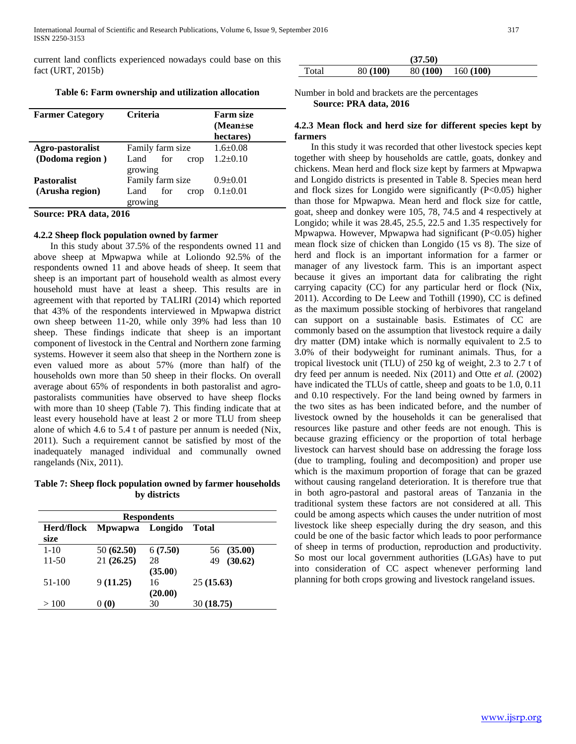current land conflicts experienced nowadays could base on this fact (URT, 2015b)

**Table 6: Farm ownership and utilization allocation**

| <b>Farmer Category</b> | Criteria            | <b>Farm size</b><br>$(Mean \pm se)$<br>hectares) |
|------------------------|---------------------|--------------------------------------------------|
| Agro-pastoralist       | Family farm size    | $1.6 \pm 0.08$                                   |
| (Dodoma region)        | for<br>Land<br>crop | $1.2 \pm 0.10$                                   |
|                        | growing             |                                                  |
| <b>Pastoralist</b>     | Family farm size    | $0.9+0.01$                                       |
| (Arusha region)        | Land<br>for<br>crop | $0.1 \pm 0.01$                                   |
|                        | growing             |                                                  |

**Source: PRA data, 2016**

### **4.2.2 Sheep flock population owned by farmer**

 In this study about 37.5% of the respondents owned 11 and above sheep at Mpwapwa while at Loliondo 92.5% of the respondents owned 11 and above heads of sheep. It seem that sheep is an important part of household wealth as almost every household must have at least a sheep. This results are in agreement with that reported by TALIRI (2014) which reported that 43% of the respondents interviewed in Mpwapwa district own sheep between 11-20, while only 39% had less than 10 sheep. These findings indicate that sheep is an important component of livestock in the Central and Northern zone farming systems. However it seem also that sheep in the Northern zone is even valued more as about 57% (more than half) of the households own more than 50 sheep in their flocks. On overall average about 65% of respondents in both pastoralist and agropastoralists communities have observed to have sheep flocks with more than 10 sheep (Table 7). This finding indicate that at least every household have at least 2 or more TLU from sheep alone of which 4.6 to 5.4 t of pasture per annum is needed (Nix, 2011). Such a requirement cannot be satisfied by most of the inadequately managed individual and communally owned rangelands (Nix, 2011).

**Table 7: Sheep flock population owned by farmer households by districts**

| <b>Respondents</b> |                 |               |               |  |  |  |
|--------------------|-----------------|---------------|---------------|--|--|--|
| Herd/flock<br>size | <b>M</b> pwapwa | Longido       | <b>Total</b>  |  |  |  |
| $1 - 10$           | 50 (62.50)      | 6(7.50)       | 56 (35.00)    |  |  |  |
| 11-50              | 21(26.25)       | 28<br>(35.00) | (30.62)<br>49 |  |  |  |
| 51-100             | 9(11.25)        | 16<br>(20.00) | 25(15.63)     |  |  |  |
| >100               | 0(0)            | 30            | 30 (18.75)    |  |  |  |

|       |          | (37.50)  |          |
|-------|----------|----------|----------|
| Total | 80 (100) | 80 (100) | 160(100) |

Number in bold and brackets are the percentages  **Source: PRA data, 2016**

### **4.2.3 Mean flock and herd size for different species kept by farmers**

 In this study it was recorded that other livestock species kept together with sheep by households are cattle, goats, donkey and chickens. Mean herd and flock size kept by farmers at Mpwapwa and Longido districts is presented in Table 8. Species mean herd and flock sizes for Longido were significantly (P<0.05) higher than those for Mpwapwa. Mean herd and flock size for cattle, goat, sheep and donkey were 105, 78, 74.5 and 4 respectively at Longido; while it was 28.45, 25.5, 22.5 and 1.35 respectively for Mpwapwa. However, Mpwapwa had significant (P<0.05) higher mean flock size of chicken than Longido (15 vs 8). The size of herd and flock is an important information for a farmer or manager of any livestock farm. This is an important aspect because it gives an important data for calibrating the right carrying capacity (CC) for any particular herd or flock (Nix, 2011). According to De Leew and Tothill (1990), CC is defined as the maximum possible stocking of herbivores that rangeland can support on a sustainable basis. Estimates of CC are commonly based on the assumption that livestock require a daily dry matter (DM) intake which is normally equivalent to 2.5 to 3.0% of their bodyweight for ruminant animals. Thus, for a tropical livestock unit (TLU) of 250 kg of weight, 2.3 to 2.7 t of dry feed per annum is needed. Nix (2011) and Otte *et al.* (2002) have indicated the TLUs of cattle, sheep and goats to be 1.0, 0.11 and 0.10 respectively. For the land being owned by farmers in the two sites as has been indicated before, and the number of livestock owned by the households it can be generalised that resources like pasture and other feeds are not enough. This is because grazing efficiency or the proportion of total herbage livestock can harvest should base on addressing the forage loss (due to trampling, fouling and decomposition) and proper use which is the maximum proportion of forage that can be grazed without causing rangeland deterioration. It is therefore true that in both agro-pastoral and pastoral areas of Tanzania in the traditional system these factors are not considered at all. This could be among aspects which causes the under nutrition of most livestock like sheep especially during the dry season, and this could be one of the basic factor which leads to poor performance of sheep in terms of production, reproduction and productivity. So most our local government authorities (LGAs) have to put into consideration of CC aspect whenever performing land planning for both crops growing and livestock rangeland issues.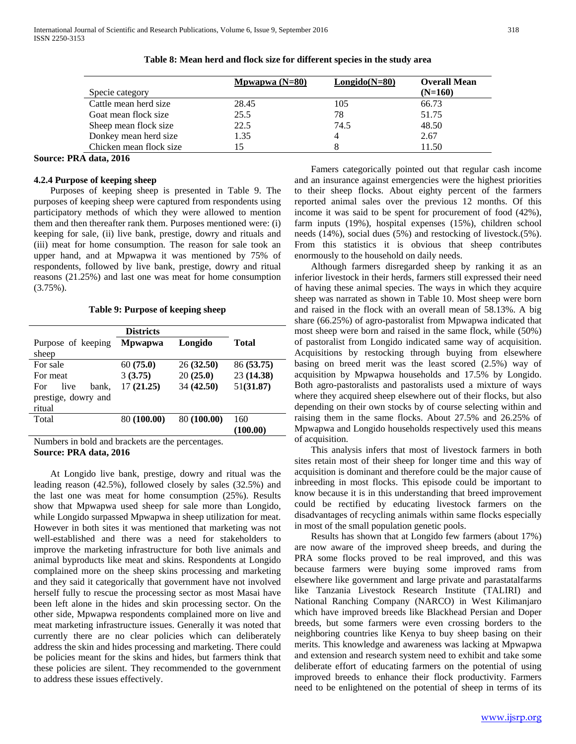|                         | Mpwapwa $(N=80)$ | $Longido(N=80)$ | <b>Overall Mean</b> |
|-------------------------|------------------|-----------------|---------------------|
| Specie category         |                  |                 | $(N=160)$           |
| Cattle mean herd size   | 28.45            | 105             | 66.73               |
| Goat mean flock size    | 25.5             | 78              | 51.75               |
| Sheep mean flock size   | 22.5             | 74.5            | 48.50               |
| Donkey mean herd size   | 1.35             | 4               | 2.67                |
| Chicken mean flock size | 15               |                 | 11.50               |

**Table 8: Mean herd and flock size for different species in the study area**

## **Source: PRA data, 2016**

## **4.2.4 Purpose of keeping sheep**

 Purposes of keeping sheep is presented in Table 9. The purposes of keeping sheep were captured from respondents using participatory methods of which they were allowed to mention them and then thereafter rank them. Purposes mentioned were: (i) keeping for sale, (ii) live bank, prestige, dowry and rituals and (iii) meat for home consumption. The reason for sale took an upper hand, and at Mpwapwa it was mentioned by 75% of respondents, followed by live bank, prestige, dowry and ritual reasons (21.25%) and last one was meat for home consumption  $(3.75\%)$ .

**Table 9: Purpose of keeping sheep**

|                                                                | <b>Districts</b> |             |              |
|----------------------------------------------------------------|------------------|-------------|--------------|
| Purpose of keeping                                             | <b>M</b> pwapwa  | Longido     | <b>Total</b> |
| sheep                                                          |                  |             |              |
| For sale                                                       | 60(75.0)         | 26(32.50)   | 86 (53.75)   |
| For meat                                                       | 3(3.75)          | 20(25.0)    | 23 (14.38)   |
| live<br>bank.<br>For                                           | 17(21.25)        | 34 (42.50)  | 51(31.87)    |
| prestige, dowry and                                            |                  |             |              |
| ritual                                                         |                  |             |              |
| Total                                                          | 80 (100.00)      | 80 (100.00) | 160          |
|                                                                |                  |             | (100.00)     |
| Maanala ama ku danddii wurdi hanandaata iyoo thaa magaanta wax |                  |             |              |

Numbers in bold and brackets are the percentages. **Source: PRA data, 2016**

 At Longido live bank, prestige, dowry and ritual was the leading reason (42.5%), followed closely by sales (32.5%) and the last one was meat for home consumption (25%). Results show that Mpwapwa used sheep for sale more than Longido, while Longido surpassed Mpwapwa in sheep utilization for meat. However in both sites it was mentioned that marketing was not well-established and there was a need for stakeholders to improve the marketing infrastructure for both live animals and animal byproducts like meat and skins. Respondents at Longido complained more on the sheep skins processing and marketing and they said it categorically that government have not involved herself fully to rescue the processing sector as most Masai have been left alone in the hides and skin processing sector. On the other side, Mpwapwa respondents complained more on live and meat marketing infrastructure issues. Generally it was noted that currently there are no clear policies which can deliberately address the skin and hides processing and marketing. There could be policies meant for the skins and hides, but farmers think that these policies are silent. They recommended to the government to address these issues effectively.

 Famers categorically pointed out that regular cash income and an insurance against emergencies were the highest priorities to their sheep flocks. About eighty percent of the farmers reported animal sales over the previous 12 months. Of this income it was said to be spent for procurement of food (42%), farm inputs (19%), hospital expenses (15%), children school needs (14%), social dues (5%) and restocking of livestock.(5%). From this statistics it is obvious that sheep contributes enormously to the household on daily needs.

 Although farmers disregarded sheep by ranking it as an inferior livestock in their herds, farmers still expressed their need of having these animal species. The ways in which they acquire sheep was narrated as shown in Table 10. Most sheep were born and raised in the flock with an overall mean of 58.13%. A big share (66.25%) of agro-pastoralist from Mpwapwa indicated that most sheep were born and raised in the same flock, while (50%) of pastoralist from Longido indicated same way of acquisition. Acquisitions by restocking through buying from elsewhere basing on breed merit was the least scored (2.5%) way of acquisition by Mpwapwa households and 17.5% by Longido. Both agro-pastoralists and pastoralists used a mixture of ways where they acquired sheep elsewhere out of their flocks, but also depending on their own stocks by of course selecting within and raising them in the same flocks. About 27.5% and 26.25% of Mpwapwa and Longido households respectively used this means of acquisition.

 This analysis infers that most of livestock farmers in both sites retain most of their sheep for longer time and this way of acquisition is dominant and therefore could be the major cause of inbreeding in most flocks. This episode could be important to know because it is in this understanding that breed improvement could be rectified by educating livestock farmers on the disadvantages of recycling animals within same flocks especially in most of the small population genetic pools.

 Results has shown that at Longido few farmers (about 17%) are now aware of the improved sheep breeds, and during the PRA some flocks proved to be real improved, and this was because farmers were buying some improved rams from elsewhere like government and large private and parastatalfarms like Tanzania Livestock Research Institute (TALIRI) and National Ranching Company (NARCO) in West Kilimanjaro which have improved breeds like Blackhead Persian and Doper breeds, but some farmers were even crossing borders to the neighboring countries like Kenya to buy sheep basing on their merits. This knowledge and awareness was lacking at Mpwapwa and extension and research system need to exhibit and take some deliberate effort of educating farmers on the potential of using improved breeds to enhance their flock productivity. Farmers need to be enlightened on the potential of sheep in terms of its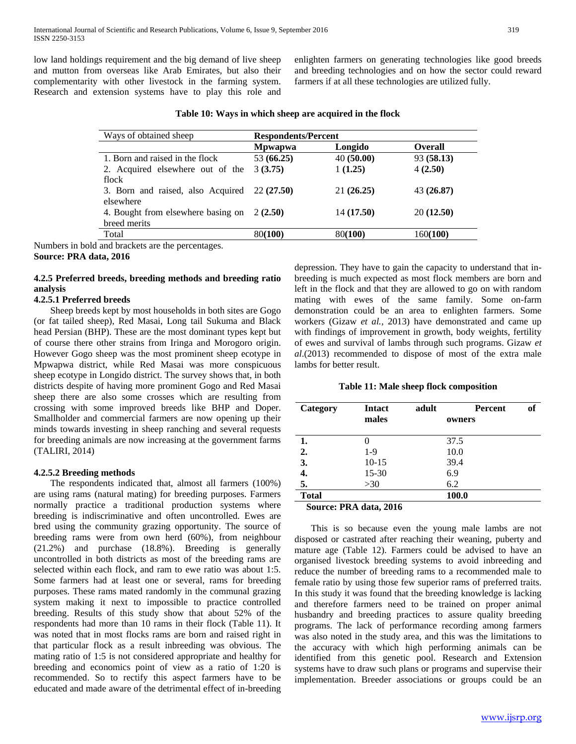low land holdings requirement and the big demand of live sheep and mutton from overseas like Arab Emirates, but also their complementarity with other livestock in the farming system. Research and extension systems have to play this role and enlighten farmers on generating technologies like good breeds and breeding technologies and on how the sector could reward farmers if at all these technologies are utilized fully.

| Mpwapwa    |            |                        |
|------------|------------|------------------------|
|            | Longido    | <b>Overall</b>         |
| 53 (66.25) |            | 93(58.13)              |
| 3(3.75)    | 1(1.25)    | 4(2.50)                |
|            |            |                        |
| 22(27.50)  |            | 43 (26.87)             |
|            |            |                        |
| 2(2.50)    | 14 (17.50) | 20 (12.50)             |
|            |            |                        |
| 80(100)    | 80(100)    | 160(100)               |
|            |            | 40(50.00)<br>21(26.25) |

**Table 10: Ways in which sheep are acquired in the flock**

Numbers in bold and brackets are the percentages.

**Source: PRA data, 2016**

# **4.2.5 Preferred breeds, breeding methods and breeding ratio analysis**

# **4.2.5.1 Preferred breeds**

 Sheep breeds kept by most households in both sites are Gogo (or fat tailed sheep), Red Masai, Long tail Sukuma and Black head Persian (BHP). These are the most dominant types kept but of course there other strains from Iringa and Morogoro origin. However Gogo sheep was the most prominent sheep ecotype in Mpwapwa district, while Red Masai was more conspicuous sheep ecotype in Longido district. The survey shows that, in both districts despite of having more prominent Gogo and Red Masai sheep there are also some crosses which are resulting from crossing with some improved breeds like BHP and Doper. Smallholder and commercial farmers are now opening up their minds towards investing in sheep ranching and several requests for breeding animals are now increasing at the government farms (TALIRI, 2014)

#### **4.2.5.2 Breeding methods**

 The respondents indicated that, almost all farmers (100%) are using rams (natural mating) for breeding purposes. Farmers normally practice a traditional production systems where breeding is indiscriminative and often uncontrolled. Ewes are bred using the community grazing opportunity. The source of breeding rams were from own herd (60%), from neighbour (21.2%) and purchase (18.8%). Breeding is generally uncontrolled in both districts as most of the breeding rams are selected within each flock, and ram to ewe ratio was about 1:5. Some farmers had at least one or several, rams for breeding purposes. These rams mated randomly in the communal grazing system making it next to impossible to practice controlled breeding. Results of this study show that about 52% of the respondents had more than 10 rams in their flock (Table 11). It was noted that in most flocks rams are born and raised right in that particular flock as a result inbreeding was obvious. The mating ratio of 1:5 is not considered appropriate and healthy for breeding and economics point of view as a ratio of 1:20 is recommended. So to rectify this aspect farmers have to be educated and made aware of the detrimental effect of in-breeding depression. They have to gain the capacity to understand that inbreeding is much expected as most flock members are born and left in the flock and that they are allowed to go on with random mating with ewes of the same family. Some on-farm demonstration could be an area to enlighten farmers. Some workers (Gizaw *et al.,* 2013) have demonstrated and came up with findings of improvement in growth, body weights, fertility of ewes and survival of lambs through such programs. Gizaw *et al*.(2013) recommended to dispose of most of the extra male lambs for better result.

#### **Table 11: Male sheep flock composition**

| Category     | <b>Intact</b><br>males                      | adult | <b>Percent</b><br>owners | of |
|--------------|---------------------------------------------|-------|--------------------------|----|
| 1.           |                                             |       | 37.5                     |    |
| 2.           | $1-9$                                       |       | 10.0                     |    |
| 3.           | $10 - 15$                                   |       | 39.4                     |    |
| 4.           | 15-30                                       |       | 6.9                      |    |
| 5.           | >30                                         |       | 6.2                      |    |
| <b>Total</b> |                                             |       | 100.0                    |    |
|              | $C_{\text{average}}$ DD $\lambda$ Jets 2016 |       |                          |    |

 **Source: PRA data, 2016**

 This is so because even the young male lambs are not disposed or castrated after reaching their weaning, puberty and mature age (Table 12). Farmers could be advised to have an organised livestock breeding systems to avoid inbreeding and reduce the number of breeding rams to a recommended male to female ratio by using those few superior rams of preferred traits. In this study it was found that the breeding knowledge is lacking and therefore farmers need to be trained on proper animal husbandry and breeding practices to assure quality breeding programs. The lack of performance recording among farmers was also noted in the study area, and this was the limitations to the accuracy with which high performing animals can be identified from this genetic pool. Research and Extension systems have to draw such plans or programs and supervise their implementation. Breeder associations or groups could be an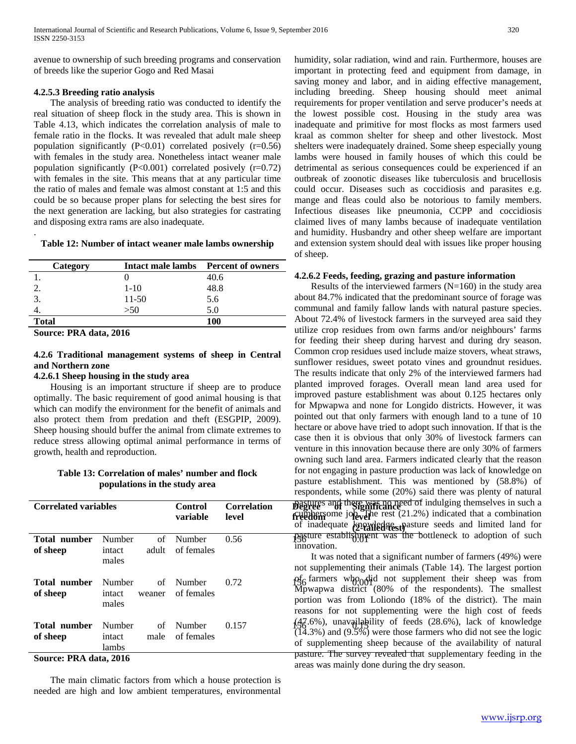avenue to ownership of such breeding programs and conservation of breeds like the superior Gogo and Red Masai

## **4.2.5.3 Breeding ratio analysis**

 The analysis of breeding ratio was conducted to identify the real situation of sheep flock in the study area. This is shown in Table 4.13, which indicates the correlation analysis of male to female ratio in the flocks. It was revealed that adult male sheep population significantly  $(P<0.01)$  correlated posively  $(r=0.56)$ with females in the study area. Nonetheless intact weaner male population significantly  $(P<0.001)$  correlated posively  $(r=0.72)$ with females in the site. This means that at any particular time the ratio of males and female was almost constant at 1:5 and this could be so because proper plans for selecting the best sires for the next generation are lacking, but also strategies for castrating and disposing extra rams are also inadequate.

### **Table 12: Number of intact weaner male lambs ownership**

| Category     | Intact male lambs | <b>Percent of owners</b> |
|--------------|-------------------|--------------------------|
|              |                   | 40.6                     |
|              | $1-10$            | 48.8                     |
|              | 11-50             | 5.6                      |
|              | >50               | 5.0                      |
| <b>Total</b> |                   | 100                      |

**Source: PRA data, 2016**

.

# **4.2.6 Traditional management systems of sheep in Central and Northern zone**

## **4.2.6.1 Sheep housing in the study area**

 Housing is an important structure if sheep are to produce optimally. The basic requirement of good animal housing is that which can modify the environment for the benefit of animals and also protect them from predation and theft (ESGPIP, 2009). Sheep housing should buffer the animal from climate extremes to reduce stress allowing optimal animal performance in terms of growth, health and reproduction.

# **Table 13: Correlation of males' number and flock populations in the study area**

| Total number                                                      |                           |             |                         |       |  |
|-------------------------------------------------------------------|---------------------------|-------------|-------------------------|-------|--|
| of sheep                                                          | Number<br>intact<br>males | of<br>adult | Number<br>of females    | 0.56  |  |
| Total number<br>of sheep                                          | Number<br>intact<br>males | weaner      | of Number<br>of females | 0.72  |  |
| Total number<br>of sheep                                          | Number<br>intact<br>lambs | of<br>male  | Number<br>of females    | 0.157 |  |
| $C_{\alpha\alpha\alpha\alpha\alpha\alpha}$ DD $\lambda$ data 2016 |                           |             |                         |       |  |

**Source: PRA data, 2016**

 The main climatic factors from which a house protection is needed are high and low ambient temperatures, environmental

humidity, solar radiation, wind and rain. Furthermore, houses are important in protecting feed and equipment from damage, in saving money and labor, and in aiding effective management, including breeding. Sheep housing should meet animal requirements for proper ventilation and serve producer's needs at the lowest possible cost. Housing in the study area was inadequate and primitive for most flocks as most farmers used kraal as common shelter for sheep and other livestock. Most shelters were inadequately drained. Some sheep especially young lambs were housed in family houses of which this could be detrimental as serious consequences could be experienced if an outbreak of zoonotic diseases like tuberculosis and brucellosis could occur. Diseases such as coccidiosis and parasites e.g. mange and fleas could also be notorious to family members. Infectious diseases like pneumonia, CCPP and coccidiosis claimed lives of many lambs because of inadequate ventilation and humidity. Husbandry and other sheep welfare are important and extension system should deal with issues like proper housing of sheep.

# **4.2.6.2 Feeds, feeding, grazing and pasture information**

**Begrues and there was no need of indulging themselves in such a freedom**<br> **develop**<br> **level level level level level level level level level level level level level level level level level level level level level level level level level (2-tailed test)** of inadequate knowledge, pasture seeds and limited land for 0.56 156 0.01 pasture establishment was the bottleneck to adoption of such Results of the interviewed farmers  $(N=160)$  in the study area about 84.7% indicated that the predominant source of forage was communal and family fallow lands with natural pasture species. About 72.4% of livestock farmers in the surveyed area said they utilize crop residues from own farms and/or neighbours' farms for feeding their sheep during harvest and during dry season. Common crop residues used include maize stovers, wheat straws, sunflower residues, sweet potato vines and groundnut residues. The results indicate that only 2% of the interviewed farmers had planted improved forages. Overall mean land area used for improved pasture establishment was about 0.125 hectares only for Mpwapwa and none for Longido districts. However, it was pointed out that only farmers with enough land to a tune of 10 hectare or above have tried to adopt such innovation. If that is the case then it is obvious that only 30% of livestock farmers can venture in this innovation because there are only 30% of farmers owning such land area. Farmers indicated clearly that the reason for not engaging in pasture production was lack of knowledge on pasture establishment. This was mentioned by (58.8%) of respondents, while some (20%) said there was plenty of natural innovation.

0.72  $\frac{6}{56}$  farmers who did not supplement their sheep was from  $0.157$   $\left(\frac{47.6}{50}\right)$ , unavailability of feeds (28.6%), lack of knowledge It was noted that a significant number of farmers (49%) were not supplementing their animals (Table 14). The largest portion Mpwapwa district (80% of the respondents). The smallest portion was from Loliondo (18% of the district). The main reasons for not supplementing were the high cost of feeds  $(14.3%)$  and  $(9.5%)$  were those farmers who did not see the logic of supplementing sheep because of the availability of natural pasture. The survey revealed that supplementary feeding in the areas was mainly done during the dry season.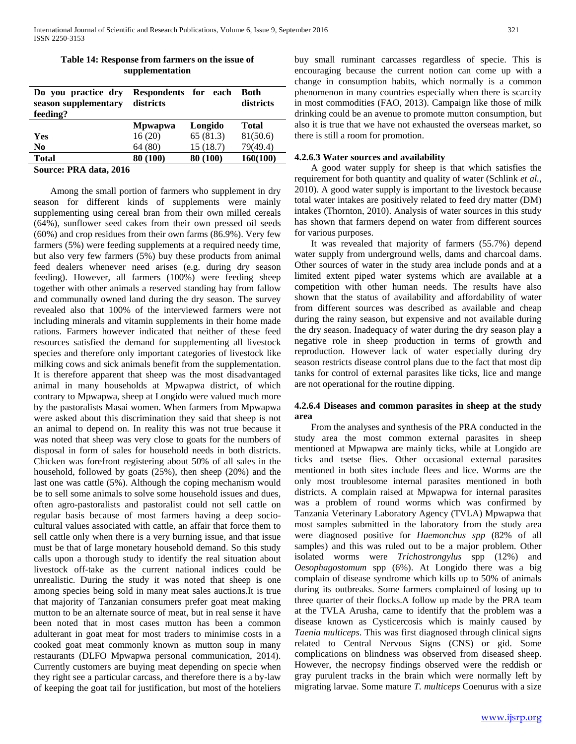| Do you practice dry<br>season supplementary<br>feeding? | Respondents for each<br>districts |          | Both<br>districts |
|---------------------------------------------------------|-----------------------------------|----------|-------------------|
|                                                         | <b>Mpwapwa</b>                    | Longido  | <b>Total</b>      |
| <b>Yes</b>                                              | 16(20)                            | 65(81.3) | 81(50.6)          |
| N <sub>0</sub>                                          | 64 (80)                           | 15(18.7) | 79(49.4)          |
| <b>Total</b>                                            | 80 (100)                          | 80 (100) | 160(100)          |
| $\mathcal{L}_{\text{oupton}}$ DD $\lambda$ dota 2016    |                                   |          |                   |

# **Table 14: Response from farmers on the issue of supplementation**

**Source: PRA data, 2016**

 Among the small portion of farmers who supplement in dry season for different kinds of supplements were mainly supplementing using cereal bran from their own milled cereals (64%), sunflower seed cakes from their own pressed oil seeds (60%) and crop residues from their own farms (86.9%). Very few farmers (5%) were feeding supplements at a required needy time, but also very few farmers (5%) buy these products from animal feed dealers whenever need arises (e.g. during dry season feeding). However, all farmers (100%) were feeding sheep together with other animals a reserved standing hay from fallow and communally owned land during the dry season. The survey revealed also that 100% of the interviewed farmers were not including minerals and vitamin supplements in their home made rations. Farmers however indicated that neither of these feed resources satisfied the demand for supplementing all livestock species and therefore only important categories of livestock like milking cows and sick animals benefit from the supplementation. It is therefore apparent that sheep was the most disadvantaged animal in many households at Mpwapwa district, of which contrary to Mpwapwa, sheep at Longido were valued much more by the pastoralists Masai women. When farmers from Mpwapwa were asked about this discrimination they said that sheep is not an animal to depend on. In reality this was not true because it was noted that sheep was very close to goats for the numbers of disposal in form of sales for household needs in both districts. Chicken was forefront registering about 50% of all sales in the household, followed by goats (25%), then sheep (20%) and the last one was cattle (5%). Although the coping mechanism would be to sell some animals to solve some household issues and dues, often agro-pastoralists and pastoralist could not sell cattle on regular basis because of most farmers having a deep sociocultural values associated with cattle, an affair that force them to sell cattle only when there is a very burning issue, and that issue must be that of large monetary household demand. So this study calls upon a thorough study to identify the real situation about livestock off-take as the current national indices could be unrealistic. During the study it was noted that sheep is one among species being sold in many meat sales auctions.It is true that majority of Tanzanian consumers prefer goat meat making mutton to be an alternate source of meat, but in real sense it have been noted that in most cases mutton has been a common adulterant in goat meat for most traders to minimise costs in a cooked goat meat commonly known as mutton soup in many restaurants (DLFO Mpwapwa personal communication, 2014). Currently customers are buying meat depending on specie when they right see a particular carcass, and therefore there is a by-law of keeping the goat tail for justification, but most of the hoteliers

buy small ruminant carcasses regardless of specie. This is encouraging because the current notion can come up with a change in consumption habits, which normally is a common phenomenon in many countries especially when there is scarcity in most commodities (FAO, 2013). Campaign like those of milk drinking could be an avenue to promote mutton consumption, but also it is true that we have not exhausted the overseas market, so there is still a room for promotion.

# **4.2.6.3 Water sources and availability**

 A good water supply for sheep is that which satisfies the requirement for both quantity and quality of water (Schlink *et al.,* 2010). A good water supply is important to the livestock because total water intakes are positively related to feed dry matter (DM) intakes (Thornton, 2010). Analysis of water sources in this study has shown that farmers depend on water from different sources for various purposes.

 It was revealed that majority of farmers (55.7%) depend water supply from underground wells, dams and charcoal dams. Other sources of water in the study area include ponds and at a limited extent piped water systems which are available at a competition with other human needs. The results have also shown that the status of availability and affordability of water from different sources was described as available and cheap during the rainy season, but expensive and not available during the dry season. Inadequacy of water during the dry season play a negative role in sheep production in terms of growth and reproduction. However lack of water especially during dry season restricts disease control plans due to the fact that most dip tanks for control of external parasites like ticks, lice and mange are not operational for the routine dipping.

# **4.2.6.4 Diseases and common parasites in sheep at the study area**

 From the analyses and synthesis of the PRA conducted in the study area the most common external parasites in sheep mentioned at Mpwapwa are mainly ticks, while at Longido are ticks and tsetse flies. Other occasional external parasites mentioned in both sites include flees and lice. Worms are the only most troublesome internal parasites mentioned in both districts. A complain raised at Mpwapwa for internal parasites was a problem of round worms which was confirmed by Tanzania Veterinary Laboratory Agency (TVLA) Mpwapwa that most samples submitted in the laboratory from the study area were diagnosed positive for *Haemonchus spp* (82% of all samples) and this was ruled out to be a major problem. Other isolated worms were *Trichostrongylus* spp (12%) and *Oesophagostomum* spp (6%). At Longido there was a big complain of disease syndrome which kills up to 50% of animals during its outbreaks. Some farmers complained of losing up to three quarter of their flocks.A follow up made by the PRA team at the TVLA Arusha, came to identify that the problem was a disease known as Cysticercosis which is mainly caused by *Taenia multiceps*. This was first diagnosed through clinical signs related to Central Nervous Signs (CNS) or gid. Some complications on blindness was observed from diseased sheep. However, the necropsy findings observed were the reddish or gray purulent tracks in the brain which were normally left by migrating larvae. Some mature *T. multiceps* Coenurus with a size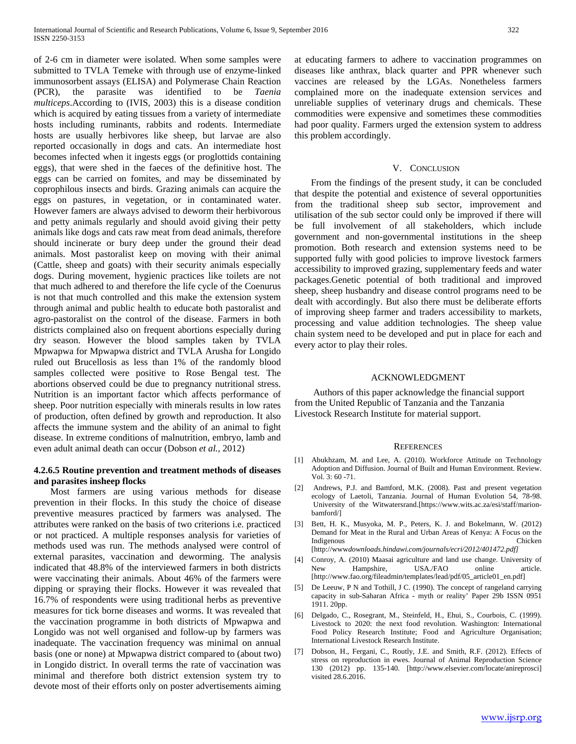of 2-6 cm in diameter were isolated. When some samples were submitted to TVLA Temeke with through use of enzyme-linked immunosorbent assays (ELISA) and Polymerase Chain Reaction (PCR), the parasite was identified to be *Taenia multiceps*.According to (IVIS, 2003) this is a disease condition which is acquired by eating tissues from a variety of intermediate hosts including ruminants, rabbits and rodents. Intermediate hosts are usually herbivores like sheep, but larvae are also reported occasionally in dogs and cats. An intermediate host becomes infected when it ingests eggs (or proglottids containing eggs), that were shed in the faeces of the definitive host. The eggs can be carried on fomites, and may be disseminated by coprophilous insects and birds. Grazing animals can acquire the eggs on pastures, in vegetation, or in contaminated water. However famers are always advised to deworm their herbivorous and petty animals regularly and should avoid giving their petty animals like dogs and cats raw meat from dead animals, therefore should incinerate or bury deep under the ground their dead animals. Most pastoralist keep on moving with their animal (Cattle, sheep and goats) with their security animals especially dogs. During movement, hygienic practices like toilets are not that much adhered to and therefore the life cycle of the Coenurus is not that much controlled and this make the extension system through animal and public health to educate both pastoralist and agro-pastoralist on the control of the disease. Farmers in both districts complained also on frequent abortions especially during dry season. However the blood samples taken by TVLA Mpwapwa for Mpwapwa district and TVLA Arusha for Longido ruled out Brucellosis as less than 1% of the randomly blood samples collected were positive to Rose Bengal test. The abortions observed could be due to pregnancy nutritional stress. Nutrition is an important factor which affects performance of sheep. Poor nutrition especially with minerals results in low rates of production, often defined by growth and reproduction. It also affects the immune system and the ability of an animal to fight disease. In extreme conditions of malnutrition, embryo, lamb and even adult animal death can occur (Dobson *et al.,* 2012)

## **4.2.6.5 Routine prevention and treatment methods of diseases and parasites insheep flocks**

 Most farmers are using various methods for disease prevention in their flocks. In this study the choice of disease preventive measures practiced by farmers was analysed. The attributes were ranked on the basis of two criterions i.e. practiced or not practiced. A multiple responses analysis for varieties of methods used was run. The methods analysed were control of external parasites, vaccination and deworming. The analysis indicated that 48.8% of the interviewed farmers in both districts were vaccinating their animals. About 46% of the farmers were dipping or spraying their flocks. However it was revealed that 16.7% of respondents were using traditional herbs as preventive measures for tick borne diseases and worms. It was revealed that the vaccination programme in both districts of Mpwapwa and Longido was not well organised and follow-up by farmers was inadequate. The vaccination frequency was minimal on annual basis (one or none) at Mpwapwa district compared to (about two) in Longido district. In overall terms the rate of vaccination was minimal and therefore both district extension system try to devote most of their efforts only on poster advertisements aiming

at educating farmers to adhere to vaccination programmes on diseases like anthrax, black quarter and PPR whenever such vaccines are released by the LGAs. Nonetheless farmers complained more on the inadequate extension services and unreliable supplies of veterinary drugs and chemicals. These commodities were expensive and sometimes these commodities had poor quality. Farmers urged the extension system to address this problem accordingly.

#### V. CONCLUSION

 From the findings of the present study, it can be concluded that despite the potential and existence of several opportunities from the traditional sheep sub sector, improvement and utilisation of the sub sector could only be improved if there will be full involvement of all stakeholders, which include government and non-governmental institutions in the sheep promotion. Both research and extension systems need to be supported fully with good policies to improve livestock farmers accessibility to improved grazing, supplementary feeds and water packages.Genetic potential of both traditional and improved sheep, sheep husbandry and disease control programs need to be dealt with accordingly. But also there must be deliberate efforts of improving sheep farmer and traders accessibility to markets, processing and value addition technologies. The sheep value chain system need to be developed and put in place for each and every actor to play their roles.

## ACKNOWLEDGMENT

 Authors of this paper acknowledge the financial support from the United Republic of Tanzania and the Tanzania Livestock Research Institute for material support.

#### **REFERENCES**

- [1] Abukhzam, M. and Lee, A. (2010). Workforce Attitude on Technology Adoption and Diffusion. Journal of Built and Human Environment. Review. Vol. 3: 60 -71.
- [2] Andrews, P.J. and Bamford, M.K. (2008). Past and present vegetation ecology of Laetoli, Tanzania. Journal of Human Evolution 54, 78-98. University of the Witwatersrand.[https://www.wits.ac.za/esi/staff/marionbamford/]
- [3] Bett, H. K., Musyoka, M. P., Peters, K. J. and Bokelmann, W. (2012) Demand for Meat in the Rural and Urban Areas of Kenya: A Focus on the Indigenous [http://www*downloads.hindawi.com/journals/ecri/2012/401472.pdf]*
- [4] Conroy, A. (2010) Maasai agriculture and land use change. University of New Hampshire, USA./FAO online article. [http://www.fao.org/fileadmin/templates/lead/pdf/05\_article01\_en.pdf]
- [5] De Leeuw, P N and Tothill, J C. (1990). The concept of rangeland carrying capacity in sub-Saharan Africa - myth or reality' Paper 29b ISSN 0951 1911. 20pp.
- [6] Delgado, C., Rosegrant, M., Steinfeld, H., Ehui, S., Courbois, C. (1999). Livestock to 2020: the next food revolution. Washington: International Food Policy Research Institute; Food and Agriculture Organisation; International Livestock Research Institute.
- [7] Dobson, H., Fergani, C., Routly, J.E. and Smith, R.F. (2012). Effects of stress on reproduction in ewes. Journal of Animal Reproduction Science 130 (2012) pp. 135-140. [http://www.elsevier.com/locate/anireprosci] visited 28.6.2016.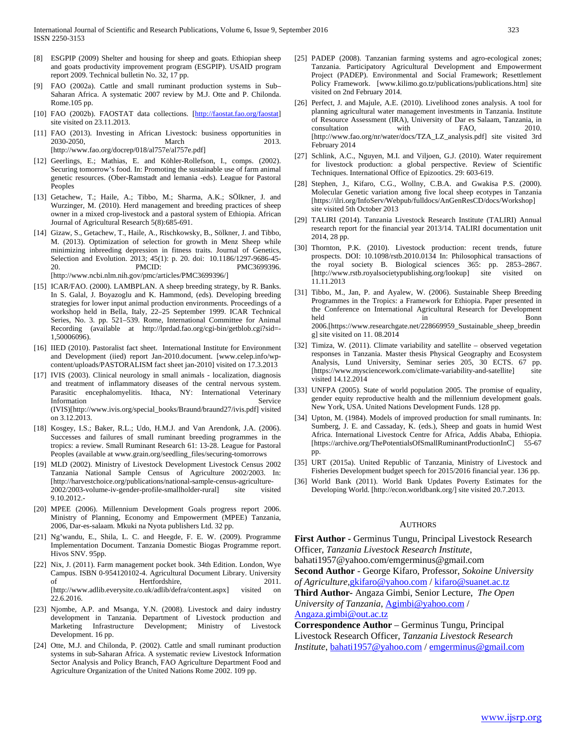- [8] ESGPIP (2009) Shelter and housing for sheep and goats. Ethiopian sheep and goats productivity improvement program (ESGPIP). USAID program report 2009. Technical bulletin No. 32, 17 pp.
- [9] FAO (2002a). Cattle and small ruminant production systems in Sub– Saharan Africa. A systematic 2007 review by M.J. Otte and P. Chilonda. Rome.105 pp.
- [10] FAO (2002b). FAOSTAT data collections. [\[http://faostat.fao.org/faostat\]](http://faostat.fao.org/faostat) site visited on 23.11.2013.
- [11] FAO (2013). Investing in African Livestock: business opportunities in 2030-2050, March 2013. [http://www.fao.org/docrep/018/al757e/al757e.pdf]
- [12] Geerlings, E.; Mathias, E. and Köhler-Rollefson, I., comps. (2002). Securing tomorrow's food. In: Promoting the sustainable use of farm animal genetic resources. (Ober-Ramstadt and lemania -eds). League for Pastoral Peoples
- [13] Getachew, T.; Haile, A.; Tibbo, M.; Sharma, A.K.; SÖlkner, J. and Wurzinger, M. (2010). Herd management and breeding practices of sheep owner in a mixed crop-livestock and a pastoral system of Ethiopia. African Journal of Agricultural Research 5(8):685-691.
- [14] Gizaw, [S.,](http://www.ncbi.nlm.nih.gov/pubmed/?term=Gizaw%20S%5Bauth%5D) Getachew[, T.,](http://www.ncbi.nlm.nih.gov/pubmed/?term=Getachew%20T%5Bauth%5D) Haile, A., Rischkowsky[, B.,](http://www.ncbi.nlm.nih.gov/pubmed/?term=Rischkowsky%20B%5Bauth%5D) Sölkner, J. and Tibbo, [M.](http://www.ncbi.nlm.nih.gov/pubmed/?term=Tibbo%20M%5Bauth%5D) (2013). Optimization of selection for growth in Menz Sheep while minimizing inbreeding depression in fitness traits. Journal of Genetics, Selection and Evolution. 2013; 45(1): p. 20. doi: [10.1186/1297-9686-45-](http://dx.doi.org/10.1186%2F1297-9686-45-20) [20.](http://dx.doi.org/10.1186%2F1297-9686-45-20) PMCID: PMC3699396. [http://www.ncbi.nlm.nih.gov/pmc/articles/PMC3699396/]
- [15] ICAR/FAO. (2000). LAMBPLAN. A sheep breeding strategy, by R. Banks. In S. Galal, J. Boyazoglu and K. Hammond, (eds). Developing breeding strategies for lower input animal production environments. Proceedings of a workshop held in Bella, Italy, 22–25 September 1999. ICAR Technical Series, No. 3. pp. 521–539. Rome, International Committee for Animal Recording (available at [http://lprdad.fao.org/cgi-bin/getblob.cgi?sid=-](http://lprdad.fao.org/cgi-bin/getblob.cgi?sid=-1,50006096) [1,50006096\)](http://lprdad.fao.org/cgi-bin/getblob.cgi?sid=-1,50006096).
- [16] IIED (2010). Pastoralist fact sheet. International Institute for Environment and Development (iied) report Jan-2010.document. [\[www.celep.info/wp](http://www.celep.info/wp-content/uploads/PASTORALISM%20fact%20sheet%20jan-2010%5d)[content/uploads/PASTORALISM fact sheet jan-2010\] v](http://www.celep.info/wp-content/uploads/PASTORALISM%20fact%20sheet%20jan-2010%5d)isited on 17.3.2013
- [17] IVIS (2003). Clinical neurology in small animals localization, diagnosis and treatment of inflammatory diseases of the central nervous system. Parasitic encephalomyelitis. Ithaca, NY: International Veterinary Information Service (IVIS)[http://www.ivis.org/special\_books/Braund/braund27/ivis.pdf] visited on 3.12.2013.
- [18] Kosgey, I.S.; Baker, R.L.; Udo, H.M.J. and Van Arendonk, J.A. (2006). Successes and failures of small ruminant breeding programmes in the tropics: a review. Small Ruminant Research 61: 13-28. League for Pastoral Peoples (available a[t www.grain.org/seedling\\_files/securing-tomorrows](http://www.grain.org/seedling_files/securing-tomorrows)
- [19] MLD (2002). Ministry of Livestock Development Livestock Census 2002 Tanzania National Sample Census of Agriculture 2002/2003. In: [\[http://harvestchoice.org/publications/national-sample-census-agriculture-](http://harvestchoice.org/publications/national-sample-census-agriculture-2002/2003-volume-iv-gender-profile-smallholder-rural%5d%20site%20visited%209.10.2012.-)[2002/2003-volume-iv-gender-profile-smallholder-rural\] site visited](http://harvestchoice.org/publications/national-sample-census-agriculture-2002/2003-volume-iv-gender-profile-smallholder-rural%5d%20site%20visited%209.10.2012.-)  [9.10.2012.-](http://harvestchoice.org/publications/national-sample-census-agriculture-2002/2003-volume-iv-gender-profile-smallholder-rural%5d%20site%20visited%209.10.2012.-)
- [20] MPEE (2006). Millennium Development Goals progress report 2006. Ministry of Planning, Economy and Empowerment (MPEE) Tanzania, 2006, Dar-es-salaam. Mkuki na Nyota publishers Ltd. 32 pp.
- [21] Ng'wandu, E., Shila, L. C. and Heegde, F. E. W. (2009). Programme Implementation Document. Tanzania Domestic Biogas Programme report. Hivos SNV. 95pp.
- [22] Nix, J. (2011). Farm management pocket book. 34th Edition. London, Wye Campus. ISBN 0-954120102-4. Agricultural Document Library. University of Hertfordshire, 2011. [http://www.adlib.everysite.co.uk/adlib/defra/content.aspx] visited on 22.6.2016.
- [23] Njombe, A.P. and Msanga, Y.N. (2008). Livestock and dairy industry development in Tanzania. Department of Livestock production and Marketing Infrastructure Development; Ministry of Livestock Development. 16 pp.
- [24] Otte, M.J. and Chilonda, P. (2002). Cattle and small ruminant production systems in sub-Saharan Africa. A systematic review Livestock Information Sector Analysis and Policy Branch, FAO Agriculture Department Food and Agriculture Organization of the United Nations Rome 2002. 109 pp.
- [25] PADEP (2008). Tanzanian farming systems and agro-ecological zones; Tanzania. Participatory Agricultural Development and Empowerment Project (PADEP). Environmental and Social Framework; Resettlement Policy Framework. [www.kilimo.go.tz/publications/publications.htm] site visited on 2nd February 2014.
- [26] Perfect, J. and Majule, A.E. (2010). Livelihood zones analysis. A tool for planning agricultural water management investments in Tanzania. Institute of Resource Assessment (IRA), University of Dar es Salaam, Tanzania, in consultation with FAO, 2010. [http://www.fao.org/nr/water/docs/TZA\_LZ\_analysis.pdf] site visited 3rd February 2014
- [27] Schlink, A.C., Nguyen, M.I. and Viljoen, G.J. (2010). Water requirement for livestock production: a global perspective. Review of Scientific Techniques. International Office of Epizootics. 29: 603-619.
- [28] Stephen, J., Kifaro, C.G., Wollny, C.B.A. and Gwakisa P.S. (2000). Molecular Genetic variation among five local sheep ecotypes in Tanzania [https://ilri.org/InfoServ/Webpub/fulldocs/AnGenResCD/docs/Workshop] site visited 5th October 2013
- [29] TALIRI (2014). Tanzania Livestock Research Institute (TALIRI) Annual research report for the financial year 2013/14. TALIRI documentation unit 2014, 28 pp.
- [30] Thornton, P.K. (2010). Livestock production: recent trends, future prospects. DOI: 10.1098/rstb.2010.0134 In: Philosophical transactions of the royal society B. Biological sciences 365: pp. 2853–2867. [http://www.rstb.royalsocietypublishing.org/lookup] site visited on 11.11.2013
- [31] Tibbo, M., Jan, P. and Ayalew, W. (2006). Sustainable Sheep Breeding Programmes in the Tropics: a Framework for Ethiopia. Paper presented in the Conference on International Agricultural Research for Development held **in** Bonn 2006.[https://www.researchgate.net/228669959\_Sustainable\_sheep\_breedin g] site visited on 11. 08.2014
- [32] Timiza, W. (2011). Climate variability and satellite observed vegetation responses in Tanzania. Master thesis Physical Geography and Ecosystem Analysis, Lund University, Seminar series 205, 30 ECTS. 67 pp. [https://www.mysciencework.com/climate-variability-and-satellite] site visited 14.12.2014
- [33] UNFPA (2005). State of world population 2005. The promise of equality, gender equity reproductive health and the millennium development goals. New York, USA. United Nations Development Funds. 128 pp.
- [34] Upton, M. (1984). Models of improved production for small ruminants. In: Sumberg, J. E. and Cassaday, K. (eds.), Sheep and goats in humid West Africa. International Livestock Centre for Africa, Addis Ababa, Ethiopia. [https://archive.org/ThePotentialsOfSmallRuminantProductionInC] 55-67 pp.
- [35] URT (2015a). United Republic of Tanzania, Ministry of Livestock and Fisheries Development budget speech for 2015/2016 financial year. 136 pp.
- [36] World Bank (2011). World Bank Updates Poverty Estimates for the Developing World. [\[http://econ.worldbank.org/\]](http://econ.worldbank.org/) site visited 20.7.2013.

#### **AUTHORS**

**First Author -** Germinus Tungu, Principal Livestock Research Officer, *Tanzania Livestock Research Institute*, bahati1957@yahoo.com/emgerminus@gmail.com

**Second Author** - George Kifaro, Professor, *Sokoine University of Agriculture,*[gkifaro@yahoo.com](mailto:gkifaro@yahoo.com) / [kifaro@suanet.ac.tz](mailto:kifaro@suanet.ac.tz)

**Third Author-** Angaza Gimbi, Senior Lecture, *The Open University of Tanzania*, [Agimbi@yahoo.com](mailto:Agimbi@yahoo.com) / [Angaza.gimbi@out.ac.tz](mailto:Angaza.gimbi@out.ac.tz)

**Correspondence Author** – Germinus Tungu, Principal Livestock Research Officer, *Tanzania Livestock Research Institute*, [bahati1957@yahoo.com](mailto:bahati1957@yahoo.com) / [emgerminus@gmail.com](mailto:emgerminus@gmail.com)